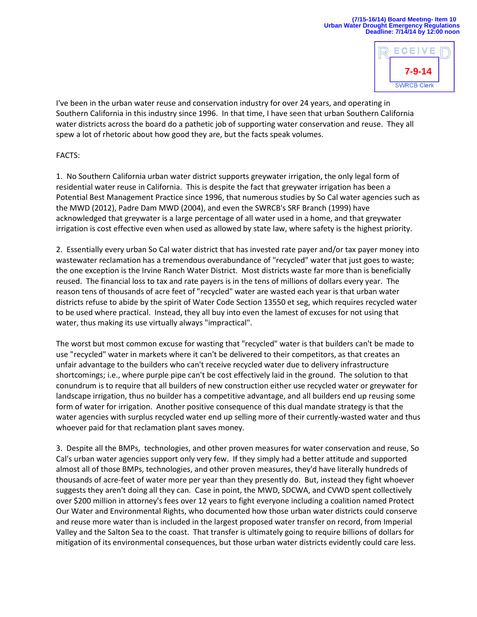## **(7/15-16/14) Board Meeting- Item 10 Urban Water Drought Emergency Regulations Deadline: 7/14/14 by 12:00 noon**



I've been in the urban water reuse and conservation industry for over 24 years, and operating in Southern California in this industry since 1996. In that time, I have seen that urban Southern California water districts across the board do a pathetic job of supporting water conservation and reuse. They all spew a lot of rhetoric about how good they are, but the facts speak volumes.

## FACTS:

1. No Southern California urban water district supports greywater irrigation, the only legal form of residential water reuse in California. This is despite the fact that greywater irrigation has been a Potential Best Management Practice since 1996, that numerous studies by So Cal water agencies such as the MWD (2012), Padre Dam MWD (2004), and even the SWRCB's SRF Branch (1999) have acknowledged that greywater is a large percentage of all water used in a home, and that greywater irrigation is cost effective even when used as allowed by state law, where safety is the highest priority.

2. Essentially every urban So Cal water district that has invested rate payer and/or tax payer money into wastewater reclamation has a tremendous overabundance of "recycled" water that just goes to waste; the one exception is the Irvine Ranch Water District. Most districts waste far more than is beneficially reused. The financial loss to tax and rate payers is in the tens of millions of dollars every year. The reason tens of thousands of acre feet of "recycled" water are wasted each year is that urban water districts refuse to abide by the spirit of Water Code Section 13550 et seg, which requires recycled water to be used where practical. Instead, they all buy into even the lamest of excuses for not using that water, thus making its use virtually always "impractical".

The worst but most common excuse for wasting that "recycled" water is that builders can't be made to use "recycled" water in markets where it can't be delivered to their competitors, as that creates an unfair advantage to the builders who can't receive recycled water due to delivery infrastructure shortcomings; i.e., where purple pipe can't be cost effectively laid in the ground. The solution to that conundrum is to require that all builders of new construction either use recycled water or greywater for landscape irrigation, thus no builder has a competitive advantage, and all builders end up reusing some form of water for irrigation. Another positive consequence of this dual mandate strategy is that the water agencies with surplus recycled water end up selling more of their currently-wasted water and thus whoever paid for that reclamation plant saves money.

3. Despite all the BMPs, technologies, and other proven measures for water conservation and reuse, So Cal's urban water agencies support only very few. If they simply had a better attitude and supported almost all of those BMPs, technologies, and other proven measures, they'd have literally hundreds of thousands of acre-feet of water more per year than they presently do. But, instead they fight whoever suggests they aren't doing all they can. Case in point, the MWD, SDCWA, and CVWD spent collectively over \$200 million in attorney's fees over 12 years to fight everyone including a coalition named Protect Our Water and Environmental Rights, who documented how those urban water districts could conserve and reuse more water than is included in the largest proposed water transfer on record, from Imperial Valley and the Salton Sea to the coast. That transfer is ultimately going to require billions of dollars for mitigation of its environmental consequences, but those urban water districts evidently could care less.